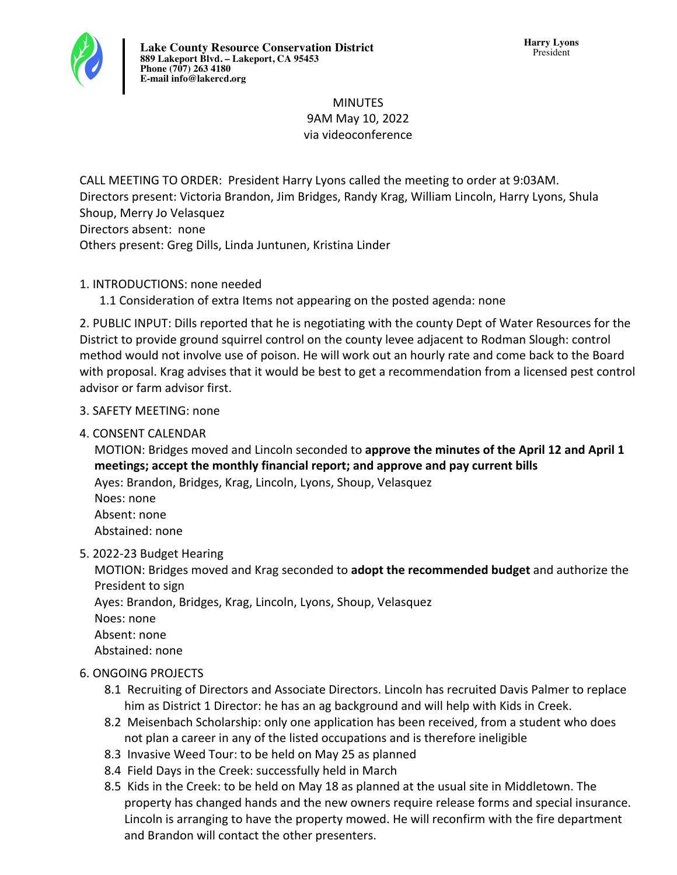

# **MINUTES** 9AM May 10, 2022 via videoconference

CALL MEETING TO ORDER: President Harry Lyons called the meeting to order at 9:03AM. Directors present: Victoria Brandon, Jim Bridges, Randy Krag, William Lincoln, Harry Lyons, Shula Shoup, Merry Jo Velasquez Directors absent: none Others present: Greg Dills, Linda Juntunen, Kristina Linder

# 1. INTRODUCTIONS: none needed

1.1 Consideration of extra Items not appearing on the posted agenda: none

2. PUBLIC INPUT: Dills reported that he is negotiating with the county Dept of Water Resources for the District to provide ground squirrel control on the county levee adjacent to Rodman Slough: control method would not involve use of poison. He will work out an hourly rate and come back to the Board with proposal. Krag advises that it would be best to get a recommendation from a licensed pest control advisor or farm advisor first.

# 3. SAFETY MEETING: none

4. CONSENT CALENDAR

MOTION: Bridges moved and Lincoln seconded to approve the minutes of the April 12 and April 1 meetings; accept the monthly financial report; and approve and pay current bills Ayes: Brandon, Bridges, Krag, Lincoln, Lyons, Shoup, Velasquez Noes: none Absent: none Abstained: none

5. 2022-23 Budget Hearing

MOTION: Bridges moved and Krag seconded to **adopt the recommended budget** and authorize the President to sign

Ayes: Brandon, Bridges, Krag, Lincoln, Lyons, Shoup, Velasquez

Noes: none

Absent: none

Abstained: none

# **6. ONGOING PROJECTS**

- 8.1 Recruiting of Directors and Associate Directors. Lincoln has recruited Davis Palmer to replace him as District 1 Director: he has an ag background and will help with Kids in Creek.
- 8.2 Meisenbach Scholarship: only one application has been received, from a student who does not plan a career in any of the listed occupations and is therefore ineligible
- 8.3 Invasive Weed Tour: to be held on May 25 as planned
- 8.4 Field Days in the Creek: successfully held in March
- 8.5 Kids in the Creek: to be held on May 18 as planned at the usual site in Middletown. The property has changed hands and the new owners require release forms and special insurance. Lincoln is arranging to have the property mowed. He will reconfirm with the fire department and Brandon will contact the other presenters.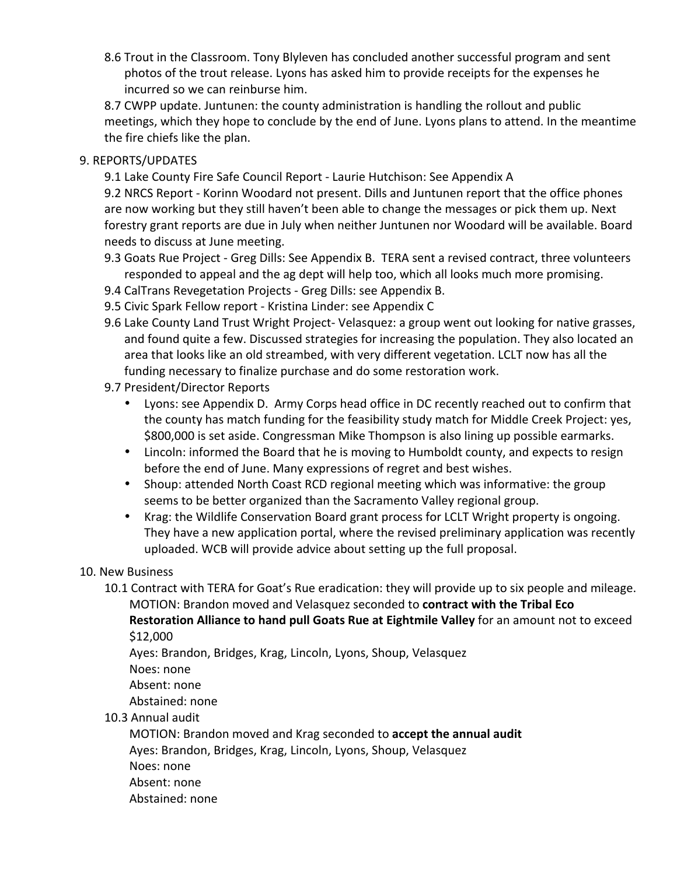8.6 Trout in the Classroom. Tony Blyleven has concluded another successful program and sent photos of the trout release. Lyons has asked him to provide receipts for the expenses he incurred so we can reinburse him.

8.7 CWPP update. Juntunen: the county administration is handling the rollout and public meetings, which they hope to conclude by the end of June. Lyons plans to attend. In the meantime the fire chiefs like the plan.

#### 9. REPORTS/UPDATES

9.1 Lake County Fire Safe Council Report - Laurie Hutchison: See Appendix A

9.2 NRCS Report - Korinn Woodard not present. Dills and Juntunen report that the office phones are now working but they still haven't been able to change the messages or pick them up. Next forestry grant reports are due in July when neither Juntunen nor Woodard will be available. Board needs to discuss at June meeting.

- 9.3 Goats Rue Project Greg Dills: See Appendix B. TERA sent a revised contract, three volunteers responded to appeal and the ag dept will help too, which all looks much more promising.
- 9.4 CalTrans Revegetation Projects Greg Dills: see Appendix B.
- 9.5 Civic Spark Fellow report Kristina Linder: see Appendix C
- 9.6 Lake County Land Trust Wright Project- Velasquez: a group went out looking for native grasses, and found quite a few. Discussed strategies for increasing the population. They also located an area that looks like an old streambed, with very different vegetation. LCLT now has all the funding necessary to finalize purchase and do some restoration work.
- 9.7 President/Director Reports
	- Lyons: see Appendix D. Army Corps head office in DC recently reached out to confirm that the county has match funding for the feasibility study match for Middle Creek Project: yes, \$800,000 is set aside. Congressman Mike Thompson is also lining up possible earmarks.
	- Lincoln: informed the Board that he is moving to Humboldt county, and expects to resign before the end of June. Many expressions of regret and best wishes.
	- Shoup: attended North Coast RCD regional meeting which was informative: the group seems to be better organized than the Sacramento Valley regional group.
	- Krag: the Wildlife Conservation Board grant process for LCLT Wright property is ongoing. They have a new application portal, where the revised preliminary application was recently uploaded. WCB will provide advice about setting up the full proposal.

### 10. New Business

10.1 Contract with TERA for Goat's Rue eradication: they will provide up to six people and mileage. MOTION: Brandon moved and Velasquez seconded to **contract with the Tribal Eco Restoration Alliance to hand pull Goats Rue at Eightmile Valley** for an amount not to exceed

\$12,000

Ayes: Brandon, Bridges, Krag, Lincoln, Lyons, Shoup, Velasquez

Noes: none

Absent: none

Abstained: none

10.3 Annual audit

MOTION: Brandon moved and Krag seconded to accept the annual audit Ayes: Brandon, Bridges, Krag, Lincoln, Lyons, Shoup, Velasquez Noes: none Absent: none

Abstained: none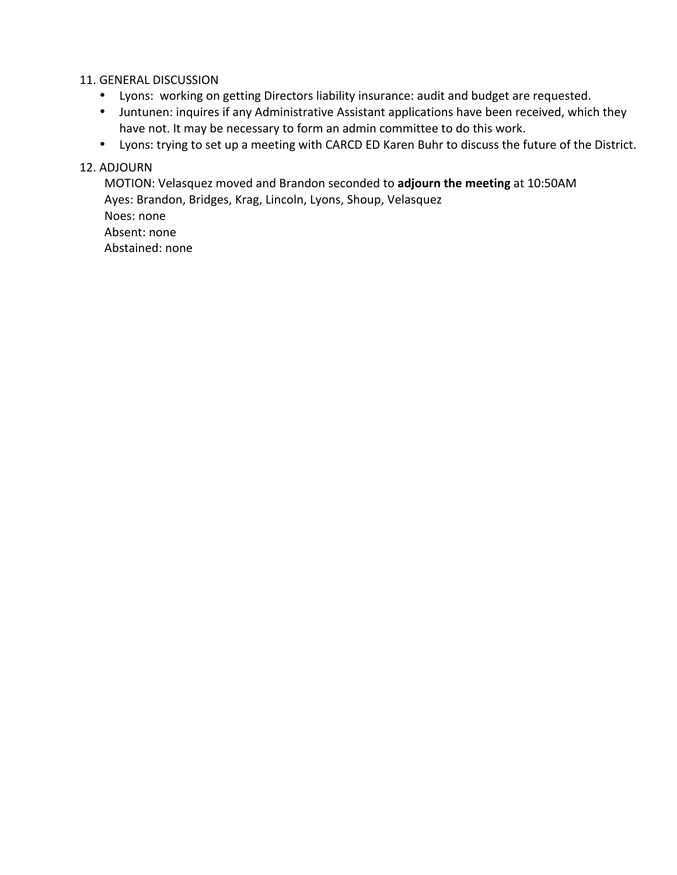#### 11. GENERAL DISCUSSION

- Lyons: working on getting Directors liability insurance: audit and budget are requested.
- Juntunen: inquires if any Administrative Assistant applications have been received, which they have not. It may be necessary to form an admin committee to do this work.
- Lyons: trying to set up a meeting with CARCD ED Karen Buhr to discuss the future of the District.

#### 12. ADJOURN

MOTION: Velasquez moved and Brandon seconded to *adjourn the meeting* at 10:50AM Ayes: Brandon, Bridges, Krag, Lincoln, Lyons, Shoup, Velasquez

Noes: none Absent: none Abstained: none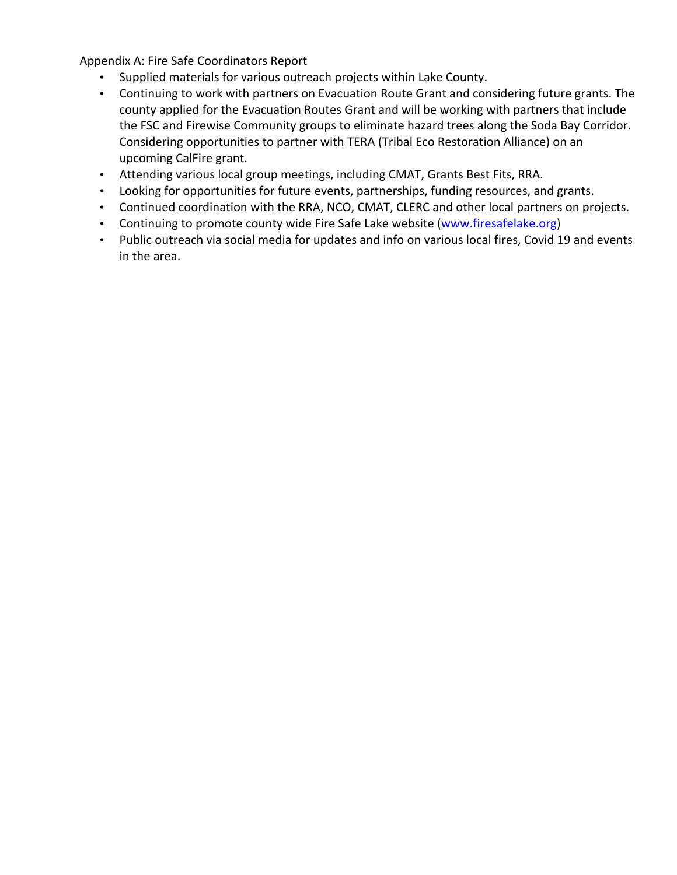Appendix A: Fire Safe Coordinators Report

- Supplied materials for various outreach projects within Lake County.
- Continuing to work with partners on Evacuation Route Grant and considering future grants. The county applied for the Evacuation Routes Grant and will be working with partners that include the FSC and Firewise Community groups to eliminate hazard trees along the Soda Bay Corridor. Considering opportunities to partner with TERA (Tribal Eco Restoration Alliance) on an upcoming CalFire grant.
- Attending various local group meetings, including CMAT, Grants Best Fits, RRA.
- Looking for opportunities for future events, partnerships, funding resources, and grants.
- Continued coordination with the RRA, NCO, CMAT, CLERC and other local partners on projects.
- Continuing to promote county wide Fire Safe Lake website (www.firesafelake.org)
- Public outreach via social media for updates and info on various local fires, Covid 19 and events in the area.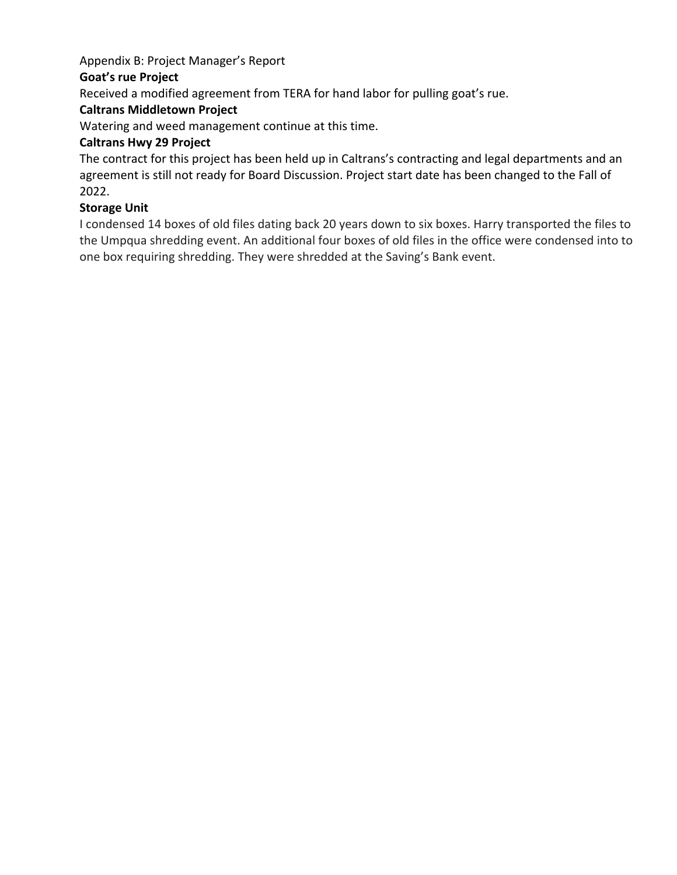# Appendix B: Project Manager's Report

### **Goat's rue Project**

Received a modified agreement from TERA for hand labor for pulling goat's rue.

# **Caltrans Middletown Project**

Watering and weed management continue at this time.

## **Caltrans Hwy 29 Project**

The contract for this project has been held up in Caltrans's contracting and legal departments and an agreement is still not ready for Board Discussion. Project start date has been changed to the Fall of 2022. 

### **Storage Unit**

I condensed 14 boxes of old files dating back 20 years down to six boxes. Harry transported the files to the Umpqua shredding event. An additional four boxes of old files in the office were condensed into to one box requiring shredding. They were shredded at the Saving's Bank event.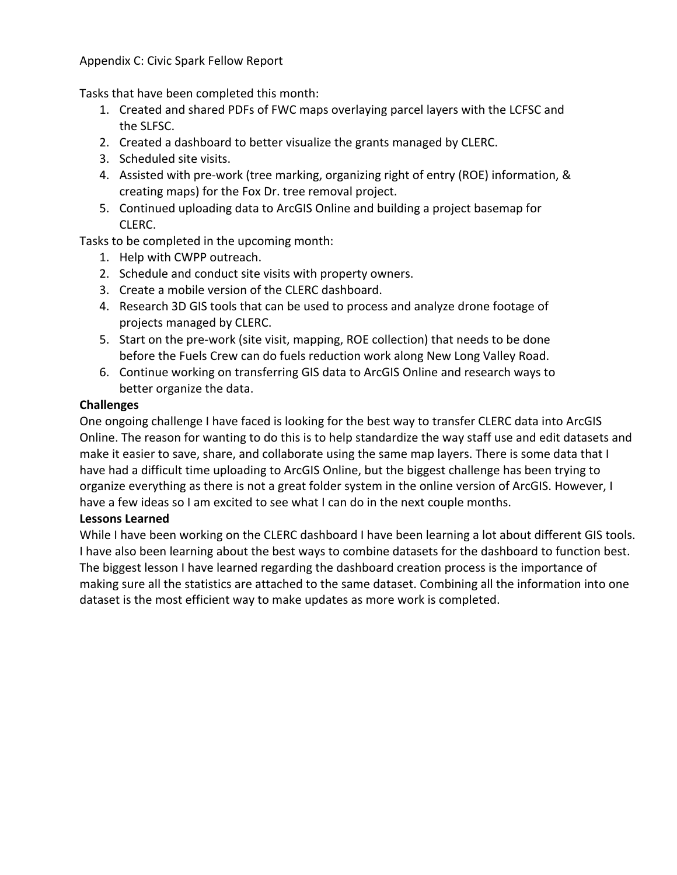#### Appendix C: Civic Spark Fellow Report

Tasks that have been completed this month:

- 1. Created and shared PDFs of FWC maps overlaying parcel layers with the LCFSC and the SLFSC.
- 2. Created a dashboard to better visualize the grants managed by CLERC.
- 3. Scheduled site visits.
- 4. Assisted with pre-work (tree marking, organizing right of entry (ROE) information, & creating maps) for the Fox Dr. tree removal project.
- 5. Continued uploading data to ArcGIS Online and building a project basemap for CLERC.

Tasks to be completed in the upcoming month:

- 1. Help with CWPP outreach.
- 2. Schedule and conduct site visits with property owners.
- 3. Create a mobile version of the CLERC dashboard.
- 4. Research 3D GIS tools that can be used to process and analyze drone footage of projects managed by CLERC.
- 5. Start on the pre-work (site visit, mapping, ROE collection) that needs to be done before the Fuels Crew can do fuels reduction work along New Long Valley Road.
- 6. Continue working on transferring GIS data to ArcGIS Online and research ways to better organize the data.

### **Challenges**

One ongoing challenge I have faced is looking for the best way to transfer CLERC data into ArcGIS Online. The reason for wanting to do this is to help standardize the way staff use and edit datasets and make it easier to save, share, and collaborate using the same map layers. There is some data that I have had a difficult time uploading to ArcGIS Online, but the biggest challenge has been trying to organize everything as there is not a great folder system in the online version of ArcGIS. However, I have a few ideas so I am excited to see what I can do in the next couple months.

### Lessons Learned

While I have been working on the CLERC dashboard I have been learning a lot about different GIS tools. I have also been learning about the best ways to combine datasets for the dashboard to function best. The biggest lesson I have learned regarding the dashboard creation process is the importance of making sure all the statistics are attached to the same dataset. Combining all the information into one dataset is the most efficient way to make updates as more work is completed.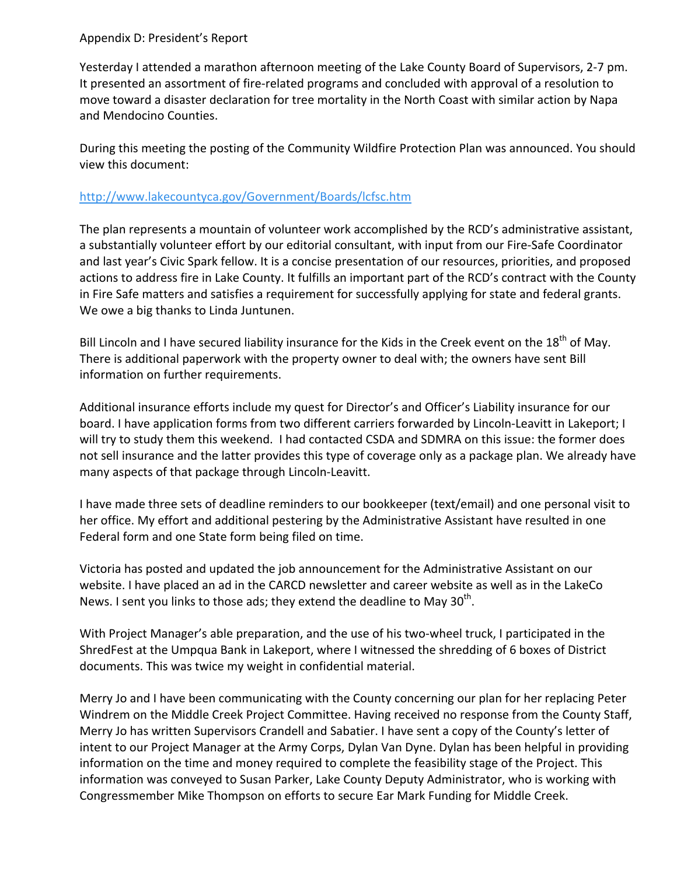#### Appendix D: President's Report

Yesterday I attended a marathon afternoon meeting of the Lake County Board of Supervisors, 2-7 pm. It presented an assortment of fire-related programs and concluded with approval of a resolution to move toward a disaster declaration for tree mortality in the North Coast with similar action by Napa and Mendocino Counties.

During this meeting the posting of the Community Wildfire Protection Plan was announced. You should view this document:

#### http://www.lakecountyca.gov/Government/Boards/lcfsc.htm

The plan represents a mountain of volunteer work accomplished by the RCD's administrative assistant, a substantially volunteer effort by our editorial consultant, with input from our Fire-Safe Coordinator and last year's Civic Spark fellow. It is a concise presentation of our resources, priorities, and proposed actions to address fire in Lake County. It fulfills an important part of the RCD's contract with the County in Fire Safe matters and satisfies a requirement for successfully applying for state and federal grants. We owe a big thanks to Linda Juntunen.

Bill Lincoln and I have secured liability insurance for the Kids in the Creek event on the 18<sup>th</sup> of May. There is additional paperwork with the property owner to deal with; the owners have sent Bill information on further requirements.

Additional insurance efforts include my quest for Director's and Officer's Liability insurance for our board. I have application forms from two different carriers forwarded by Lincoln-Leavitt in Lakeport; I will try to study them this weekend. I had contacted CSDA and SDMRA on this issue: the former does not sell insurance and the latter provides this type of coverage only as a package plan. We already have many aspects of that package through Lincoln-Leavitt.

I have made three sets of deadline reminders to our bookkeeper (text/email) and one personal visit to her office. My effort and additional pestering by the Administrative Assistant have resulted in one Federal form and one State form being filed on time.

Victoria has posted and updated the job announcement for the Administrative Assistant on our website. I have placed an ad in the CARCD newsletter and career website as well as in the LakeCo News. I sent you links to those ads; they extend the deadline to May  $30<sup>th</sup>$ .

With Project Manager's able preparation, and the use of his two-wheel truck, I participated in the ShredFest at the Umpqua Bank in Lakeport, where I witnessed the shredding of 6 boxes of District documents. This was twice my weight in confidential material.

Merry Jo and I have been communicating with the County concerning our plan for her replacing Peter Windrem on the Middle Creek Project Committee. Having received no response from the County Staff, Merry Jo has written Supervisors Crandell and Sabatier. I have sent a copy of the County's letter of intent to our Project Manager at the Army Corps, Dylan Van Dyne. Dylan has been helpful in providing information on the time and money required to complete the feasibility stage of the Project. This information was conveyed to Susan Parker, Lake County Deputy Administrator, who is working with Congressmember Mike Thompson on efforts to secure Ear Mark Funding for Middle Creek.